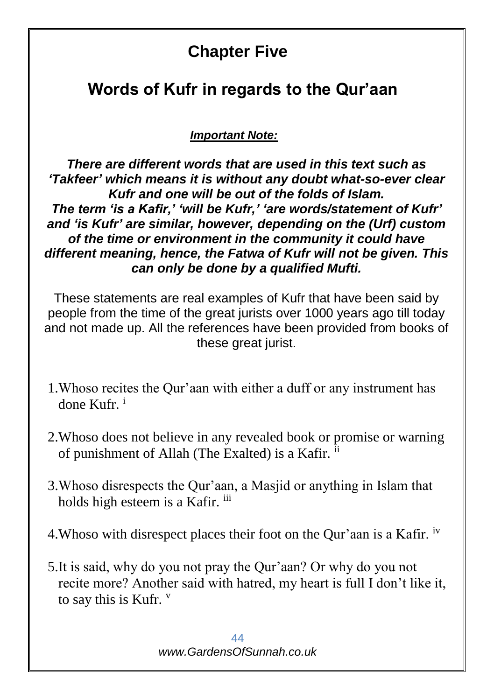## **Chapter Five**

## **Words of Kufr in regards to the Qur'aan**

*Important Note:*

*There are different words that are used in this text such as 'Takfeer' which means it is without any doubt what-so-ever clear Kufr and one will be out of the folds of Islam. The term 'is a Kafir,' 'will be Kufr,' 'are words/statement of Kufr' and 'is Kufr' are similar, however, depending on the (Urf) custom of the time or environment in the community it could have different meaning, hence, the Fatwa of Kufr will not be given. This can only be done by a qualified Mufti.*

These statements are real examples of Kufr that have been said by people from the time of the great jurists over 1000 years ago till today and not made up. All the references have been provided from books of these great jurist.

- 1.Whoso recites the Qur'aan with either a duff or any instrument has done Kufr. <sup>i</sup>
- 2.Whoso does not believe in any revealed book or promise or warning of punishment of Allah (The Exalted) is a Kafir.  $i$
- 3.Whoso disrespects the Qur'aan, a Masjid or anything in Islam that holds high esteem is a Kafir. iii
- 4.Whoso with disrespect places their foot on the Qur'aan is a Kafir. iv
- 5.It is said, why do you not pray the Qur'aan? Or why do you not recite more? Another said with hatred, my heart is full I don't like it, to say this is Kufr. v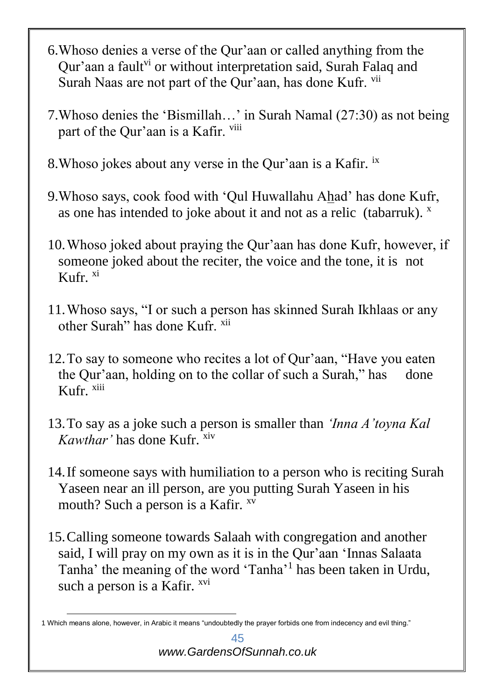- 6.Whoso denies a verse of the Qur'aan or called anything from the Qur'aan a fault<sup>vi</sup> or without interpretation said, Surah Falaq and Surah Naas are not part of the Qur'aan, has done Kufr. vii
- 7.Whoso denies the 'Bismillah…' in Surah Namal (27:30) as not being part of the Qur'aan is a Kafir. viii
- 8.Whoso jokes about any verse in the Qur'aan is a Kafir. ix
- 9.Whoso says, cook food with 'Qul Huwallahu Ahad' has done Kufr, as one has intended to joke about it and not as a relic (tabarruk).  $^x$
- 10.Whoso joked about praying the Qur'aan has done Kufr, however, if someone joked about the reciter, the voice and the tone, it is not Kufr. xi
- 11.Whoso says, "I or such a person has skinned Surah Ikhlaas or any other Surah" has done Kufr. xii
- 12.To say to someone who recites a lot of Qur'aan, "Have you eaten the Our'aan, holding on to the collar of such a Surah," has done Kufr. xiii
- 13.To say as a joke such a person is smaller than *'Inna A'toyna Kal Kawthar'* has done Kufr. xiv
- 14.If someone says with humiliation to a person who is reciting Surah Yaseen near an ill person, are you putting Surah Yaseen in his mouth? Such a person is a Kafir. <sup>xv</sup>
- 15.Calling someone towards Salaah with congregation and another said, I will pray on my own as it is in the Qur'aan 'Innas Salaata Tanha' the meaning of the word 'Tanha'<sup>1</sup> has been taken in Urdu, such a person is a Kafir. <sup>xvi</sup>

<sup>1</sup> 1 Which means alone, however, in Arabic it means "undoubtedly the prayer forbids one from indecency and evil thing."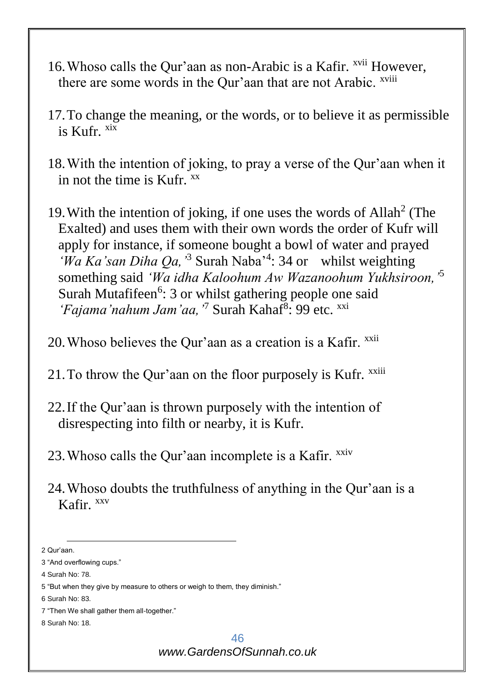- 16. Whoso calls the Qur'aan as non-Arabic is a Kafir. <sup>xvii</sup> However, there are some words in the Our'aan that are not Arabic. <sup>xviii</sup>
- 17.To change the meaning, or the words, or to believe it as permissible is  $Kufr$ <sup>xix</sup>
- 18.With the intention of joking, to pray a verse of the Qur'aan when it in not the time is  $Kufr$ <sup> $XX$ </sup>
- 19. With the intention of joking, if one uses the words of Allah<sup>2</sup> (The Exalted) and uses them with their own words the order of Kufr will apply for instance, if someone bought a bowl of water and prayed 'Wa Ka'san Diha Qa, <sup>3</sup> Surah Naba<sup>34</sup>: 34 or whilst weighting something said *'Wa idha Kaloohum Aw Wazanoohum Yukhsiroon,'*<sup>5</sup> Surah Mutafifeen<sup>6</sup>: 3 or whilst gathering people one said 'Fajama'nahum Jam'aa, <sup>7</sup> Surah Kahaf<sup>8</sup>: 99 etc. xxi
- 20. Whoso believes the Qur'aan as a creation is a Kafir. xxii
- 21. To throw the Qur'aan on the floor purposely is Kufr.  $^{xxiii}$
- 22.If the Qur'aan is thrown purposely with the intention of disrespecting into filth or nearby, it is Kufr.
- 23. Whoso calls the Qur'aan incomplete is a Kafir.  $^{xxiv}$
- 24.Whoso doubts the truthfulness of anything in the Qur'aan is a Kafir. xxv

1

<sup>2</sup> Qur'aan. 3 "And overflowing cups." 4 Surah No: 78. 5 "But when they give by measure to others or weigh to them, they diminish." 6 Surah No: 83. 7 "Then We shall gather them all-together." 8 Surah No: 18.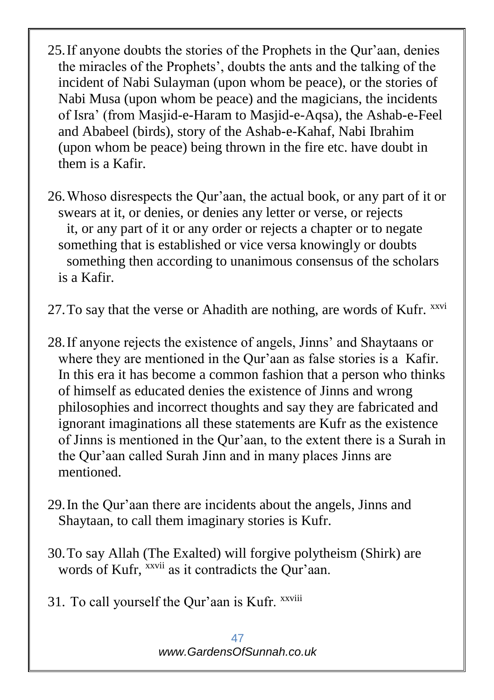- 25.If anyone doubts the stories of the Prophets in the Qur'aan, denies the miracles of the Prophets', doubts the ants and the talking of the incident of Nabi Sulayman (upon whom be peace), or the stories of Nabi Musa (upon whom be peace) and the magicians, the incidents of Isra' (from Masjid-e-Haram to Masjid-e-Aqsa), the Ashab-e-Feel and Ababeel (birds), story of the Ashab-e-Kahaf, Nabi Ibrahim (upon whom be peace) being thrown in the fire etc. have doubt in them is a Kafir.
- 26.Whoso disrespects the Qur'aan, the actual book, or any part of it or swears at it, or denies, or denies any letter or verse, or rejects it, or any part of it or any order or rejects a chapter or to negate something that is established or vice versa knowingly or doubts something then according to unanimous consensus of the scholars is a Kafir.

27. To say that the verse or Ahadith are nothing, are words of Kufr. xxvi

- 28.If anyone rejects the existence of angels, Jinns' and Shaytaans or where they are mentioned in the Qur'aan as false stories is a Kafir. In this era it has become a common fashion that a person who thinks of himself as educated denies the existence of Jinns and wrong philosophies and incorrect thoughts and say they are fabricated and ignorant imaginations all these statements are Kufr as the existence of Jinns is mentioned in the Qur'aan, to the extent there is a Surah in the Qur'aan called Surah Jinn and in many places Jinns are mentioned.
- 29.In the Qur'aan there are incidents about the angels, Jinns and Shaytaan, to call them imaginary stories is Kufr.
- 30.To say Allah (The Exalted) will forgive polytheism (Shirk) are words of Kufr, <sup>xxvii</sup> as it contradicts the Our'aan.
- 31. To call yourself the Our'aan is Kufr. xxviii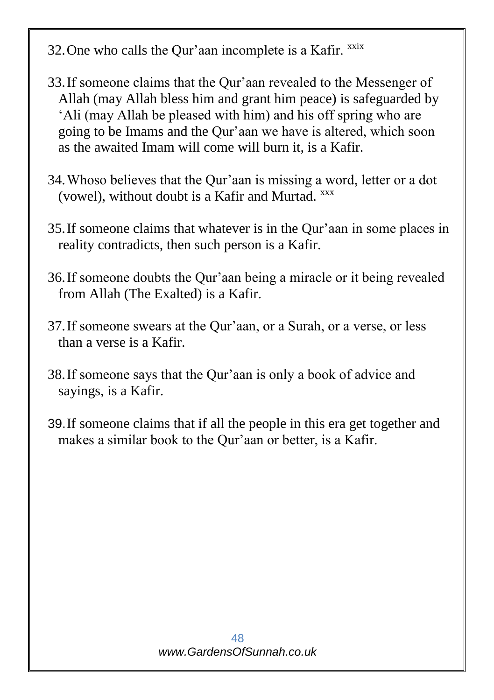- 32. One who calls the Qur'aan incomplete is a Kafir. xxix
- 33.If someone claims that the Qur'aan revealed to the Messenger of Allah (may Allah bless him and grant him peace) is safeguarded by 'Ali (may Allah be pleased with him) and his off spring who are going to be Imams and the Qur'aan we have is altered, which soon as the awaited Imam will come will burn it, is a Kafir.
- 34.Whoso believes that the Qur'aan is missing a word, letter or a dot (vowel), without doubt is a Kafir and Murtad. xxx
- 35.If someone claims that whatever is in the Qur'aan in some places in reality contradicts, then such person is a Kafir.
- 36.If someone doubts the Qur'aan being a miracle or it being revealed from Allah (The Exalted) is a Kafir.
- 37.If someone swears at the Qur'aan, or a Surah, or a verse, or less than a verse is a Kafir.
- 38.If someone says that the Qur'aan is only a book of advice and sayings, is a Kafir.
- 39.If someone claims that if all the people in this era get together and makes a similar book to the Qur'aan or better, is a Kafir.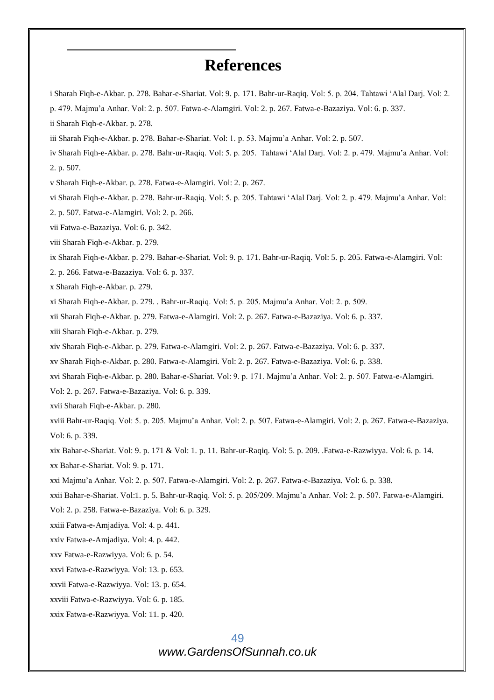## **References**

i Sharah Fiqh-e-Akbar. p. 278. Bahar-e-Shariat. Vol: 9. p. 171. Bahr-ur-Raqiq. Vol: 5. p. 204. Tahtawi 'Alal Darj. Vol: 2. p. 479. Majmu'a Anhar. Vol: 2. p. 507. Fatwa-e-Alamgiri. Vol: 2. p. 267. Fatwa-e-Bazaziya. Vol: 6. p. 337.

ii Sharah Fiqh-e-Akbar. p. 278.

-

iii Sharah Fiqh-e-Akbar. p. 278. Bahar-e-Shariat. Vol: 1. p. 53. Majmu'a Anhar. Vol: 2. p. 507.

iv Sharah Fiqh-e-Akbar. p. 278. Bahr-ur-Raqiq. Vol: 5. p. 205. Tahtawi 'Alal Darj. Vol: 2. p. 479. Majmu'a Anhar. Vol: 2. p. 507.

v Sharah Fiqh-e-Akbar. p. 278. Fatwa-e-Alamgiri. Vol: 2. p. 267.

vi Sharah Fiqh-e-Akbar. p. 278. Bahr-ur-Raqiq. Vol: 5. p. 205. Tahtawi 'Alal Darj. Vol: 2. p. 479. Majmu'a Anhar. Vol:

2. p. 507. Fatwa-e-Alamgiri. Vol: 2. p. 266.

vii Fatwa-e-Bazaziya. Vol: 6. p. 342.

viii Sharah Fiqh-e-Akbar. p. 279.

ix Sharah Fiqh-e-Akbar. p. 279. Bahar-e-Shariat. Vol: 9. p. 171. Bahr-ur-Raqiq. Vol: 5. p. 205. Fatwa-e-Alamgiri. Vol:

2. p. 266. Fatwa-e-Bazaziya. Vol: 6. p. 337.

x Sharah Fiqh-e-Akbar. p. 279.

xi Sharah Fiqh-e-Akbar. p. 279. . Bahr-ur-Raqiq. Vol: 5. p. 205. Majmu'a Anhar. Vol: 2. p. 509.

xii Sharah Fiqh-e-Akbar. p. 279. Fatwa-e-Alamgiri. Vol: 2. p. 267. Fatwa-e-Bazaziya. Vol: 6. p. 337.

xiii Sharah Fiqh-e-Akbar. p. 279.

xiv Sharah Fiqh-e-Akbar. p. 279. Fatwa-e-Alamgiri. Vol: 2. p. 267. Fatwa-e-Bazaziya. Vol: 6. p. 337.

xv Sharah Fiqh-e-Akbar. p. 280. Fatwa-e-Alamgiri. Vol: 2. p. 267. Fatwa-e-Bazaziya. Vol: 6. p. 338.

xvi Sharah Fiqh-e-Akbar. p. 280. Bahar-e-Shariat. Vol: 9. p. 171. Majmu'a Anhar. Vol: 2. p. 507. Fatwa-e-Alamgiri.

Vol: 2. p. 267. Fatwa-e-Bazaziya. Vol: 6. p. 339.

xvii Sharah Fiqh-e-Akbar. p. 280.

xviii Bahr-ur-Raqiq. Vol: 5. p. 205. Majmu'a Anhar. Vol: 2. p. 507. Fatwa-e-Alamgiri. Vol: 2. p. 267. Fatwa-e-Bazaziya. Vol: 6. p. 339.

xix Bahar-e-Shariat. Vol: 9. p. 171 & Vol: 1. p. 11. Bahr-ur-Raqiq. Vol: 5. p. 209. .Fatwa-e-Razwiyya. Vol: 6. p. 14.

xx Bahar-e-Shariat. Vol: 9. p. 171.

xxi Majmu'a Anhar. Vol: 2. p. 507. Fatwa-e-Alamgiri. Vol: 2. p. 267. Fatwa-e-Bazaziya. Vol: 6. p. 338.

xxii Bahar-e-Shariat. Vol:1. p. 5. Bahr-ur-Raqiq. Vol: 5. p. 205/209. Majmu'a Anhar. Vol: 2. p. 507. Fatwa-e-Alamgiri.

Vol: 2. p. 258. Fatwa-e-Bazaziya. Vol: 6. p. 329.

xxiii Fatwa-e-Amjadiya. Vol: 4. p. 441.

xxiv Fatwa-e-Amjadiya. Vol: 4. p. 442.

xxv Fatwa-e-Razwiyya. Vol: 6. p. 54.

xxvi Fatwa-e-Razwiyya. Vol: 13. p. 653.

xxvii Fatwa-e-Razwiyya. Vol: 13. p. 654.

xxviii Fatwa-e-Razwiyya. Vol: 6. p. 185.

xxix Fatwa-e-Razwiyya. Vol: 11. p. 420.

49 *www.GardensOfSunnah.co.uk*